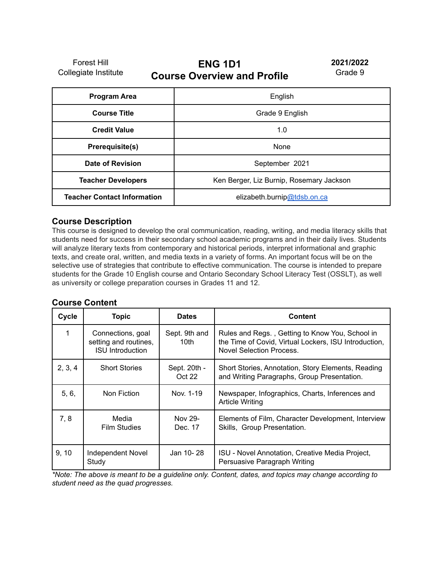Forest Hill Collegiate Institute

# **ENG 1D1 Course Overview and Profile**

**2021/2022** Grade 9

| <b>Program Area</b>                | English                                  |
|------------------------------------|------------------------------------------|
| <b>Course Title</b>                | Grade 9 English                          |
| <b>Credit Value</b>                | 1.0                                      |
| Prerequisite(s)                    | None                                     |
| Date of Revision                   | September 2021                           |
| <b>Teacher Developers</b>          | Ken Berger, Liz Burnip, Rosemary Jackson |
| <b>Teacher Contact Information</b> | elizabeth.burnip@tdsb.on.ca              |

#### **Course Description**

This course is designed to develop the oral communication, reading, writing, and media literacy skills that students need for success in their secondary school academic programs and in their daily lives. Students will analyze literary texts from contemporary and historical periods, interpret informational and graphic texts, and create oral, written, and media texts in a variety of forms. An important focus will be on the selective use of strategies that contribute to effective communication. The course is intended to prepare students for the Grade 10 English course and Ontario Secondary School Literacy Test (OSSLT), as well as university or college preparation courses in Grades 11 and 12.

#### **Course Content**

| Cycle   | <b>Topic</b>                                                          | <b>Dates</b>           | <b>Content</b>                                                                                                                              |  |
|---------|-----------------------------------------------------------------------|------------------------|---------------------------------------------------------------------------------------------------------------------------------------------|--|
|         | Connections, goal<br>setting and routines,<br><b>ISU Introduction</b> | Sept. 9th and<br>10th  | Rules and Regs., Getting to Know You, School in<br>the Time of Covid, Virtual Lockers, ISU Introduction,<br><b>Novel Selection Process.</b> |  |
| 2, 3, 4 | <b>Short Stories</b>                                                  | Sept. 20th -<br>Oct 22 | Short Stories, Annotation, Story Elements, Reading<br>and Writing Paragraphs, Group Presentation.                                           |  |
| 5, 6,   | Non Fiction                                                           | Nov. 1-19              | Newspaper, Infographics, Charts, Inferences and<br><b>Article Writing</b>                                                                   |  |
| 7, 8    | Media<br>Film Studies                                                 | Nov 29-<br>Dec. 17     | Elements of Film, Character Development, Interview<br>Skills, Group Presentation.                                                           |  |
| 9, 10   | Independent Novel<br>Study                                            | Jan 10-28              | ISU - Novel Annotation, Creative Media Project,<br>Persuasive Paragraph Writing                                                             |  |

\*Note: The above is meant to be a guideline only. Content, dates, and topics may change according to *student need as the quad progresses.*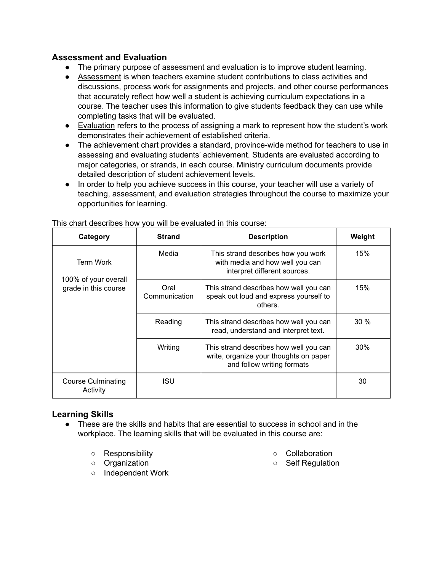## **Assessment and Evaluation**

- The primary purpose of assessment and evaluation is to improve student learning.
- Assessment is when teachers examine student contributions to class activities and discussions, process work for assignments and projects, and other course performances that accurately reflect how well a student is achieving curriculum expectations in a course. The teacher uses this information to give students feedback they can use while completing tasks that will be evaluated.
- Evaluation refers to the process of assigning a mark to represent how the student's work demonstrates their achievement of established criteria.
- The achievement chart provides a standard, province-wide method for teachers to use in assessing and evaluating students' achievement. Students are evaluated according to major categories, or strands, in each course. Ministry curriculum documents provide detailed description of student achievement levels.
- In order to help you achieve success in this course, your teacher will use a variety of teaching, assessment, and evaluation strategies throughout the course to maximize your opportunities for learning.

| Category                                     | <b>Strand</b>         | <b>Description</b>                                                                                             | Weight |
|----------------------------------------------|-----------------------|----------------------------------------------------------------------------------------------------------------|--------|
| <b>Term Work</b>                             | Media                 | This strand describes how you work<br>with media and how well you can<br>interpret different sources.          | 15%    |
| 100% of your overall<br>grade in this course | Oral<br>Communication | This strand describes how well you can<br>speak out loud and express yourself to<br>others.                    | 15%    |
|                                              | Reading               | This strand describes how well you can<br>read, understand and interpret text.                                 | $30\%$ |
|                                              | Writing               | This strand describes how well you can<br>write, organize your thoughts on paper<br>and follow writing formats | 30%    |
| <b>Course Culminating</b><br>Activity        | ISU                   |                                                                                                                | 30     |

This chart describes how you will be evaluated in this course:

## **Learning Skills**

- These are the skills and habits that are essential to success in school and in the workplace. The learning skills that will be evaluated in this course are:
	- Responsibility
	- Organization
	- Independent Work
- Collaboration
- Self Regulation